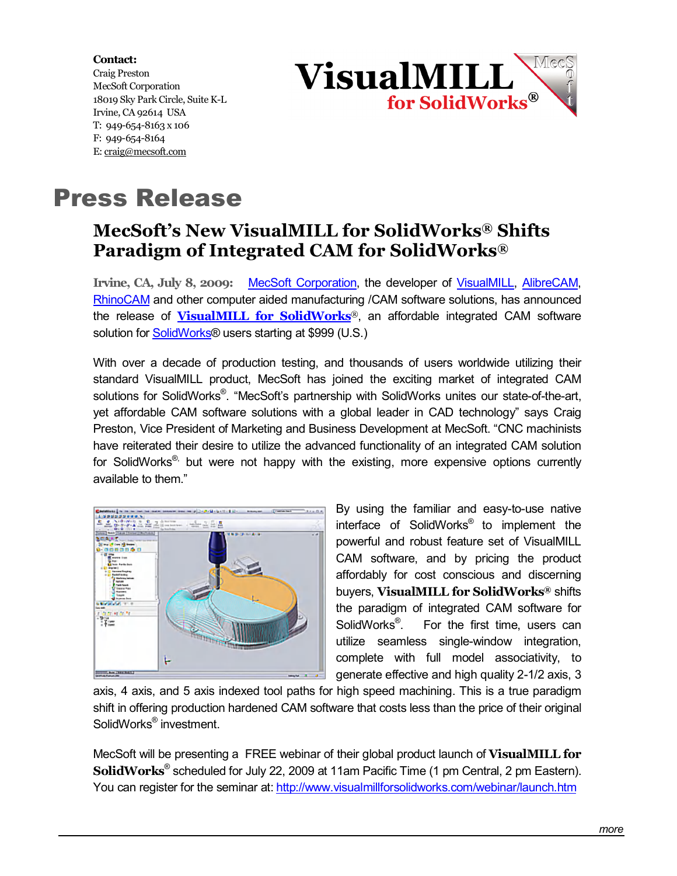**Contact:**  Craig Preston MecSoft Corporation 18019 Sky Park Circle, Suite K-L Irvine, CA 92614 USA T: 949-654-8163 x 106 F: 949-654-8164 E: [craig@mecsoft.com](mailto:craig@mecsoft.com)



## Press Release

## **MecSoft's New VisualMILL for SolidWorks® Shifts Paradigm of Integrated CAM for SolidWorks®**

**Irvine, CA, July 8, 2009:** [MecSoft Corporation,](http://www.mecsoft.com/) the developer of [VisualMILL](http://www.mecsoft.com/visualmill.shtml), [AlibreCAM,](http://www.mecsoft.com/alibrecam.shtml) [RhinoCAM](http://www.mecsoft.com/rhinocam.shtml) and other computer aided manufacturing /CAM software solutions, has announced the release of **[VisualMILL for SolidWorks](http://www.visualmillforsolidworks.com/)**®, an affordable integrated CAM software solution for [SolidWorks](http://www.solidworks.com/)® users starting at \$999 (U.S.)

With over a decade of production testing, and thousands of users worldwide utilizing their standard VisualMILL product, MecSoft has joined the exciting market of integrated CAM solutions for SolidWorks®. "MecSoft's partnership with SolidWorks unites our state-of-the-art, yet affordable CAM software solutions with a global leader in CAD technology" says Craig Preston, Vice President of Marketing and Business Development at MecSoft. "CNC machinists have reiterated their desire to utilize the advanced functionality of an integrated CAM solution for SolidWorks<sup>®,</sup> but were not happy with the existing, more expensive options currently available to them."



By using the familiar and easy-to-use native interface of SolidWorks® to implement the powerful and robust feature set of VisualMILL CAM software, and by pricing the product affordably for cost conscious and discerning buyers, **VisualMILL for SolidWorks®** shifts the paradigm of integrated CAM software for SolidWorks<sup>®</sup>. . For the first time, users can utilize seamless single-window integration, complete with full model associativity, to generate effective and high quality 2-1/2 axis, 3

axis, 4 axis, and 5 axis indexed tool paths for high speed machining. This is a true paradigm shift in offering production hardened CAM software that costs less than the price of their original SolidWorks® investment.

MecSoft will be presenting a FREE webinar of their global product launch of **VisualMILL for SolidWorks**® scheduled for July 22, 2009 at 11am Pacific Time (1 pm Central, 2 pm Eastern). You can register for the seminar at:<http://www.visualmillforsolidworks.com/webinar/launch.htm>